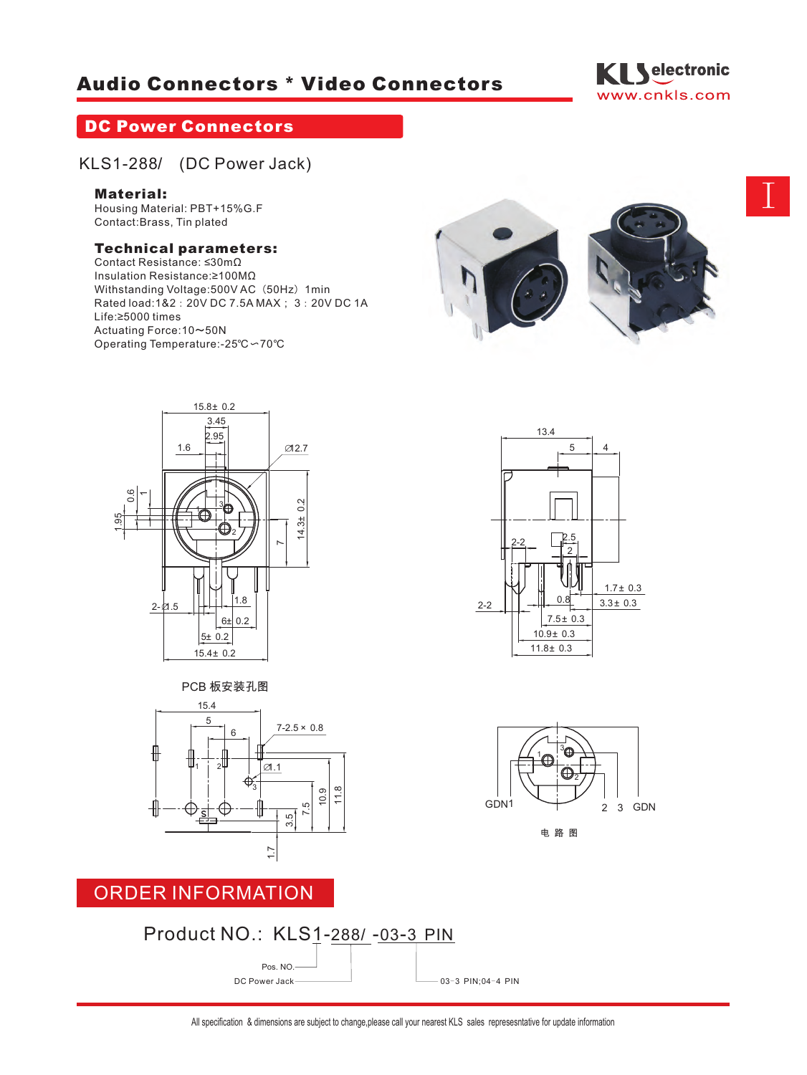# **Audio Connectors \* Video Connectors**



# **DC Power Connectors**

# KLS1-288Š (DC Power Jack)

### **Material:**

Housing Material: PBT+15%G.F Contact:Brass, Tin plated

### **Technical parameters:**

Contact Resistance: ≤30mΩ Insulation Resistance:≥100MΩ Withstanding Voltage: 500V AC (50Hz) 1min Rated load:1&2:20V DC 7.5A MAX; 3:20V DC 1A Life:≥5000 times Actuating Force:10~50N Operating Temperature:-25℃〜70℃













### ORDER INFORMATION

# Product NO.: KLS1-288Š-03-3 PIN Pos. NO. DC Power Jack  $\begin{array}{c} \begin{array}{c} \hline \end{array}$  DC Power Jack  $\begin{array}{c} \hline \end{array}$  03-3 PIN;04-4 PIN

I